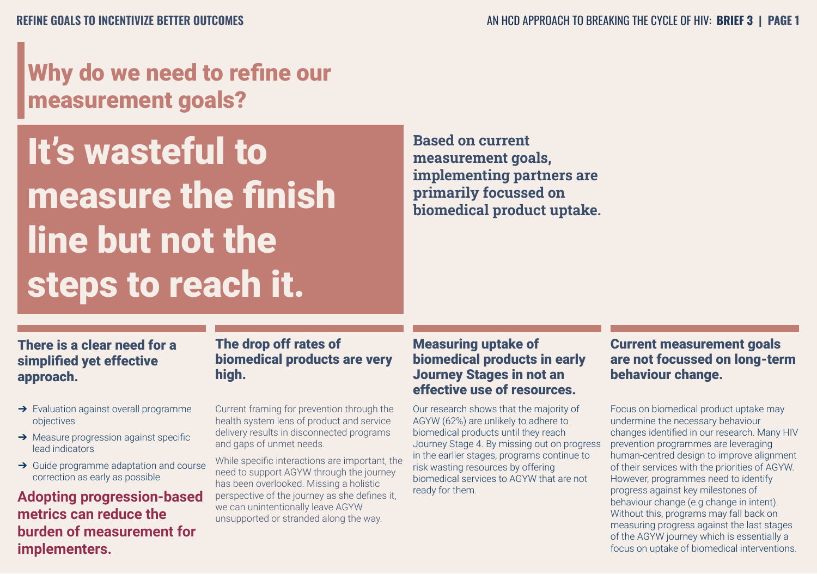# Why do we need to refine our measurement goals?

It's wasteful to measure the finish line but not the steps to reach it.

**Based on current measurement goals, implementing partners are primarily focussed on biomedical product uptake.**

# There is a clear need for a simplified yet effective approach.

- **→** Evaluation against overall programme objectives
- **→** Measure progression against specific lead indicators
- **→** Guide programme adaptation and course correction as early as possible

**Adopting progression-based metrics can reduce the burden of measurement for implementers.**

### The drop off rates of biomedical products are very high.

Current framing for prevention through the health system lens of product and service delivery results in disconnected programs and gaps of unmet needs.

While specific interactions are important, the need to support AGYW through the journey has been overlooked. Missing a holistic perspective of the journey as she defines it, we can unintentionally leave AGYW unsupported or stranded along the way.

### Measuring uptake of biomedical products in early Journey Stages in not an effective use of resources.

Our research shows that the majority of AGYW (62%) are unlikely to adhere to biomedical products until they reach Journey Stage 4. By missing out on progress in the earlier stages, programs continue to risk wasting resources by offering biomedical services to AGYW that are not ready for them.

## Current measurement goals are not focussed on long-term behaviour change.

Focus on biomedical product uptake may undermine the necessary behaviour changes identified in our research. Many HIV prevention programmes are leveraging human-centred design to improve alignment of their services with the priorities of AGYW. However, programmes need to identify progress against key milestones of behaviour change (e.g change in intent). Without this, programs may fall back on measuring progress against the last stages of the AGYW journey which is essentially a focus on uptake of biomedical interventions.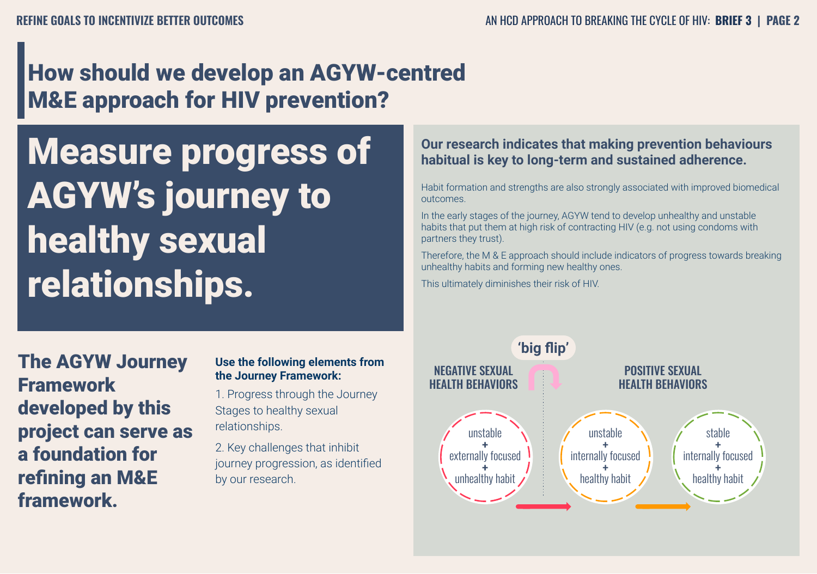# How should we develop an AGYW-centred M&E approach for HIV prevention?

Measure progress of AGYW's journey to healthy sexual relationships.

**Our research indicates that making prevention behaviours habitual is key to long-term and sustained adherence.** 

Habit formation and strengths are also strongly associated with improved biomedical outcomes.

In the early stages of the journey, AGYW tend to develop unhealthy and unstable habits that put them at high risk of contracting HIV (e.g. not using condoms with partners they trust).

Therefore, the M & E approach should include indicators of progress towards breaking unhealthy habits and forming new healthy ones.

This ultimately diminishes their risk of HIV.



The AGYW Journey Framework developed by this project can serve as a foundation for refining an M&E framework.

#### **Use the following elements from the Journey Framework:**

1. Progress through the Journey Stages to healthy sexual relationships.

2. Key challenges that inhibit journey progression, as identified by our research.